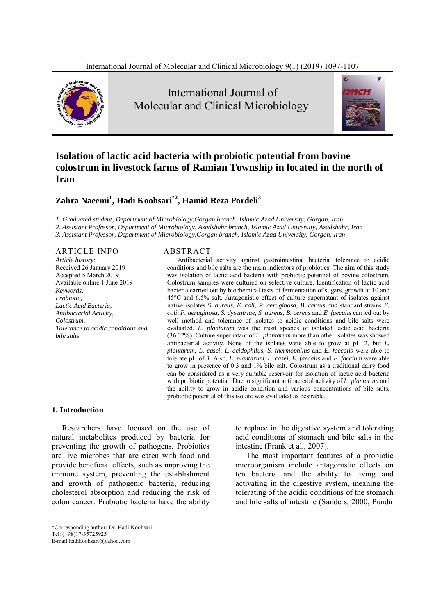

 International Journal of Molecular and Clinical Microbiology



# **Isolation of lactic acid bacteria with probiotic potential from bovine colostrum in livestock farms of Ramian Township in located in the north of Iran**

# **Zahra Naeemi<sup>1</sup> , Hadi Koohsari\*2, Hamid Reza Pordeli3**

*1. Graduated student, Department of Microbiology,Gorgan branch, Islamic Azad University, Gorgan, Iran* 

*2. Assistant Professor, Department of Microbiology, Azadshahr branch, Islamic Azad University, Azadshahr, Iran* 

*3. Assistant Professor, Department of Microbiology,Gorgan branch, Islamic Azad University, Gorgan, Iran* 

ARTICLE INFO ABSTRACT *Article history:*  Received 26 January 2019 Accepted 5 March 2019 Available online 1 June 2019 *Keywords: Probiotic, Lactic Acid Bacteria, Antibacterial Activity, Colostrum, Tolerance to acidic conditions and bile salts* 

Antibacterial activity against gastrointestinal bacteria, tolerance to acidic conditions and bile salts are the main indicators of probiotics. The aim of this study was isolation of lactic acid bacteria with probiotic potential of bovine colostrum. Colostrum samples were cultured on selective culture. Identification of lactic acid bacteria carried out by biochemical tests of fermentation of sugars, growth at 10 and 45°C and 6.5% salt. Antagonistic effect of culture supernatant of isolates against native isolates *S. aureus, E. coli*, *P. aeruginosa, B. cereus and* standard strains *E. coli*, *P. aeruginosa, S. dysentriae, S. aureus*, *B. cereus* and *E. faecalis* carried out by well method and tolerance of isolates to acidic conditions and bile salts were evaluated. *L. plantarum* was the most species of isolated lactic acid bacteria (36.32%). Culture supernatant of *L. plantarum* more than other isolates was showed antibacterial activity. None of the isolates were able to grow at pH 2, but *L. plantarum*, *L. casei*, *L. acidophilus*, *S. thermophilus* and *E. faecalis* were able to tolerate pH of 3. Also, *L. plantarum*, *L. casei*, *E. faecalis* and *E. faecium* were able to grow in presence of 0.3 and 1% bile salt. Colostrum as a traditional dairy food can be considered as a very suitable reservoir for isolation of lactic acid bacteria with probiotic potential. Due to significant antibacterial activity of *L. plantarum* and the ability to grow in acidic condition and various concentrations of bile salts, probiotic potential of this isolate was evaluated as desirable.

#### **1. Introduction**

Researchers have focused on the use of natural metabolites produced by bacteria for preventing the growth of pathogens. Probiotics are live microbes that are eaten with food and provide beneficial effects, such as improving the immune system, preventing the establishment and growth of pathogenic bacteria, reducing cholesterol absorption and reducing the risk of colon cancer. Probiotic bacteria have the ability

to replace in the digestive system and tolerating acid conditions of stomach and bile salts in the intestine (Frank et al., 2007).

The most important features of a probiotic microorganism include antagonistic effects on ten bacteria and the ability to living and activating in the digestive system, meaning the tolerating of the acidic conditions of the stomach and bile salts of intestine (Sanders, 2000; Pundir

<sup>\*</sup>Corresponding author: Dr. Hadi Koohsari

Tel: (+98)17-35725925

E-mail hadikoohsari@yahoo.com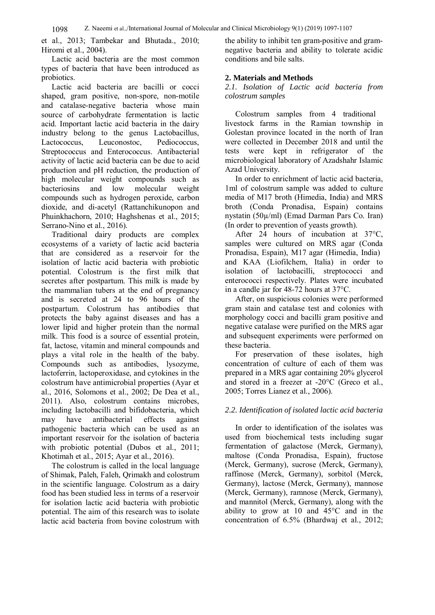et al., 2013; Tambekar and Bhutada., 2010; Hiromi et al., 2004).

Lactic acid bacteria are the most common types of bacteria that have been introduced as probiotics.

Lactic acid bacteria are bacilli or cocci shaped, gram positive, non-spore, non-motile and catalase-negative bacteria whose main source of carbohydrate fermentation is lactic acid. Important lactic acid bacteria in the dairy industry belong to the genus Lactobacillus, Lactococcus, Leuconostoc, Pediococcus, Streptococcus and Enterococcus. Antibacterial activity of lactic acid bacteria can be due to acid production and pH reduction, the production of high molecular weight compounds such as bacteriosins and low molecular weight compounds such as hydrogen peroxide, carbon dioxide, and di-acetyl (Rattanchikunopon and Phuinkhachorn, 2010; Haghshenas et al., 2015; Serrano-Nino et al., 2016).

Traditional dairy products are complex ecosystems of a variety of lactic acid bacteria that are considered as a reservoir for the isolation of lactic acid bacteria with probiotic potential. Colostrum is the first milk that secretes after postpartum. This milk is made by the mammalian tubers at the end of pregnancy and is secreted at 24 to 96 hours of the postpartum. Colostrum has antibodies that protects the baby against diseases and has a lower lipid and higher protein than the normal milk. This food is a source of essential protein, fat, lactose, vitamin and mineral compounds and plays a vital role in the health of the baby. Compounds such as antibodies, lysozyme, lactoferrin, lactoperoxidase, and cytokines in the colostrum have antimicrobial properties (Ayar et al., 2016, Solomons et al., 2002; De Dea et al., 2011). Also, colostrum contains microbes, including lactobacilli and bifidobacteria, which may have antibacterial effects against pathogenic bacteria which can be used as an important reservoir for the isolation of bacteria with probiotic potential (Dubos et al., 2011; Khotimah et al., 2015; Ayar et al., 2016).

The colostrum is called in the local language of Shimak, Paleh, Faleh, Qrimakh and colostrum in the scientific language. Colostrum as a dairy food has been studied less in terms of a reservoir for isolation lactic acid bacteria with probiotic potential. The aim of this research was to isolate lactic acid bacteria from bovine colostrum with

the ability to inhibit ten gram-positive and gramnegative bacteria and ability to tolerate acidic conditions and bile salts.

#### **2. Materials and Methods**

*2.1. Isolation of Lactic acid bacteria from colostrum samples* 

Colostrum samples from 4 traditional livestock farms in the Ramian township in Golestan province located in the north of Iran were collected in December 2018 and until the tests were kept in refrigerator of the microbiological laboratory of Azadshahr Islamic Azad University.

In order to enrichment of lactic acid bacteria, 1ml of colostrum sample was added to culture media of M17 broth (Himedia, India) and MRS broth (Conda Pronadisa, Espain) contains nystatin (50µ/ml) (Emad Darman Pars Co. Iran) (In order to prevention of yeasts growth).

After 24 hours of incubation at 37°C, samples were cultured on MRS agar (Conda Pronadisa, Espain), M17 agar (Himedia, India) and KAA (Liofilchem, Italia) in order to isolation of lactobacilli, streptococci and enterococci respectively. Plates were incubated in a candle jar for 48-72 hours at 37°C.

After, on suspicious colonies were performed gram stain and catalase test and colonies with morphology cocci and bacilli gram positive and negative catalase were purified on the MRS agar and subsequent experiments were performed on these bacteria.

For preservation of these isolates, high concentration of culture of each of them was prepared in a MRS agar containing 20% glycerol and stored in a freezer at -20°C (Greco et al., 2005; Torres Lianez et al., 2006).

# *2.2. Identification of isolated lactic acid bacteria*

In order to identification of the isolates was used from biochemical tests including sugar fermentation of galactose (Merck, Germany), maltose (Conda Pronadisa, Espain), fructose (Merck, Germany), sucrose (Merck, Germany), raffinose (Merck, Germany), sorbitol (Merck, Germany), lactose (Merck, Germany), mannose (Merck, Germany), ramnose (Merck, Germany), and mannitol (Merck, Germany), along with the ability to grow at 10 and 45°C and in the concentration of 6.5% (Bhardwaj et al., 2012;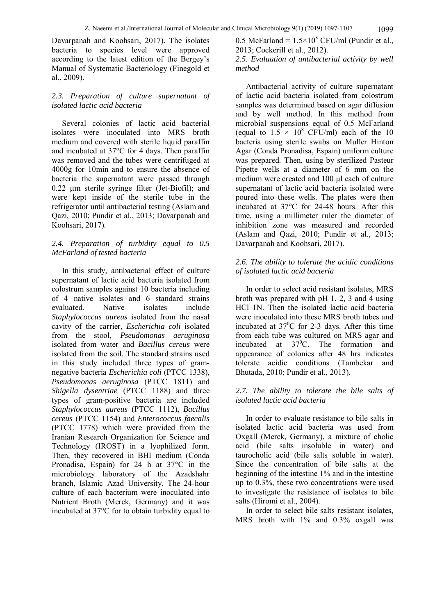Davarpanah and Koohsari, 2017). The isolates bacteria to species level were approved according to the latest edition of the Bergey's Manual of Systematic Bacteriology (Finegold et al., 2009).

# *2.3. Preparation of culture supernatant of isolated lactic acid bacteria*

Several colonies of lactic acid bacterial isolates were inoculated into MRS broth medium and covered with sterile liquid paraffin and incubated at 37°C for 4 days. Then paraffin was removed and the tubes were centrifuged at 4000g for 10min and to ensure the absence of bacteria the supernatant were passed through 0.22 μm sterile syringe filter (Jet-Biofil); and were kept inside of the sterile tube in the refrigerator until antibacterial testing (Aslam and Qazi, 2010; Pundir et al., 2013; Davarpanah and Koohsari, 2017).

# *2.4. Preparation of turbidity equal to 0.5 McFarland of tested bacteria*

In this study, antibacterial effect of culture supernatant of lactic acid bacteria isolated from colostrum samples against 10 bacteria including of 4 native isolates and 6 standard strains evaluated. Native isolates include *Staphylococcus aureus* isolated from the nasal cavity of the carrier, *Escherichia coli* isolated from the stool, *Pseudomonas aeruginosa* isolated from water and *Bacillus cereus* were isolated from the soil. The standard strains used in this study included three types of gramnegative bacteria *Escherichia coli* (PTCC 1338), *Pseudomonas aeruginosa* (PTCC 1811) and *Shigella dysentriae* (PTCC 1188) and three types of gram-positive bacteria are included *Staphylococcus aureus* (PTCC 1112), *Bacillus cereus* (PTCC 1154) and *Enterococcus faecalis* (PTCC 1778) which were provided from the Iranian Research Organization for Science and Technology (IROST) in a lyophilized form. Then, they recovered in BHI medium (Conda Pronadisa, Espain) for 24 h at 37°C in the microbiology laboratory of the Azadshahr branch, Islamic Azad University. The 24-hour culture of each bacterium were inoculated into Nutrient Broth (Merck, Germany) and it was incubated at 37°C for to obtain turbidity equal to

0.5 McFarland =  $1.5 \times 10^8$  CFU/ml (Pundir et al., 2013; Cockerill et al., 2012).

# *2.5. Evaluation of antibacterial activity by well method*

Antibacterial activity of culture supernatant of lactic acid bacteria isolated from colostrum samples was determined based on agar diffusion and by well method. In this method from microbial suspensions equal of 0.5 McFarland (equal to  $1.5 \times 10^8$  CFU/ml) each of the 10 bacteria using sterile swabs on Muller Hinton Agar (Conda Pronadisa, Espain) uniform culture was prepared. Then, using by sterilized Pasteur Pipette wells at a diameter of 6 mm on the medium were created and 100 μl each of culture supernatant of lactic acid bacteria isolated were poured into these wells. The plates were then incubated at 37°C for 24-48 hours. After this time, using a millimeter ruler the diameter of inhibition zone was measured and recorded (Aslam and Qazi, 2010; Pundir et al., 2013; Davarpanah and Koohsari, 2017).

# *2.6. The ability to tolerate the acidic conditions of isolated lactic acid bacteria*

In order to select acid resistant isolates, MRS broth was prepared with pH 1, 2, 3 and 4 using HCl 1N. Then the isolated lactic acid bacteria were inoculated into these MRS broth tubes and incubated at  $37^0C$  for 2-3 days. After this time from each tube was cultured on MRS agar and incubated at 37<sup>0</sup>C. The formation and appearance of colonies after 48 hrs indicates tolerate acidic conditions (Tambekar and Bhutada, 2010; Pundir et al., 2013).

# *2.7. The ability to tolerate the bile salts of isolated lactic acid bacteria*

In order to evaluate resistance to bile salts in isolated lactic acid bacteria was used from Oxgall (Merck, Germany), a mixture of cholic acid (bile salts insoluble in water) and taurocholic acid (bile salts soluble in water). Since the concentration of bile salts at the beginning of the intestine 1% and in the intestine up to 0.3%, these two concentrations were used to investigate the resistance of isolates to bile salts (Hiromi et al., 2004).

In order to select bile salts resistant isolates, MRS broth with 1% and 0.3% oxgall was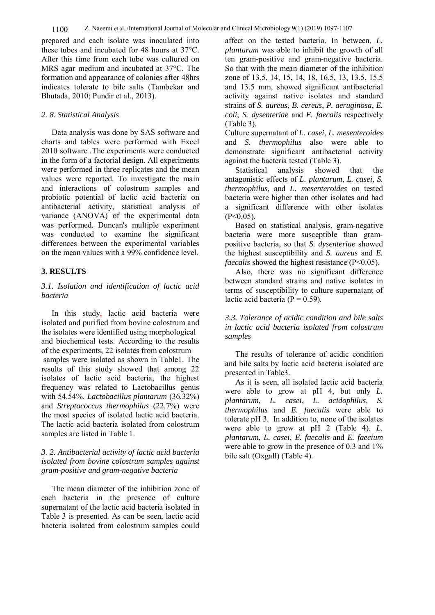prepared and each isolate was inoculated into these tubes and incubated for 48 hours at 37°C. After this time from each tube was cultured on MRS agar medium and incubated at 37°C. The formation and appearance of colonies after 48hrs indicates tolerate to bile salts (Tambekar and Bhutada, 2010; Pundir et al., 2013).

#### *2. 8. Statistical Analysis*

Data analysis was done by SAS software and charts and tables were performed with Excel 2010 software .The experiments were conducted in the form of a factorial design. All experiments were performed in three replicates and the mean values were reported. To investigate the main and interactions of colostrum samples and probiotic potential of lactic acid bacteria on antibacterial activity, statistical analysis of variance (ANOVA) of the experimental data was performed. Duncan's multiple experiment was conducted to examine the significant differences between the experimental variables on the mean values with a 99% confidence level.

# **3. RESULTS**

# *3.1. Isolation and identification of lactic acid bacteria*

In this study, lactic acid bacteria were isolated and purified from bovine colostrum and the isolates were identified using morphological and biochemical tests. According to the results of the experiments, 22 isolates from colostrum samples were isolated as shown in Table1. The results of this study showed that among 22 isolates of lactic acid bacteria, the highest frequency was related to Lactobacillus genus with 54.54%. *Lactobacillus plantarum* (36.32%) and *Streptococcus thermophilus* (22.7%) were the most species of isolated lactic acid bacteria. The lactic acid bacteria isolated from colostrum samples are listed in Table 1.

# *3. 2. Antibacterial activity of lactic acid bacteria isolated from bovine colostrum samples against gram-positive and gram-negative bacteria*

The mean diameter of the inhibition zone of each bacteria in the presence of culture supernatant of the lactic acid bacteria isolated in Table 3 is presented. As can be seen, lactic acid bacteria isolated from colostrum samples could affect on the tested bacteria. In between, *L. plantarum* was able to inhibit the growth of all ten gram-positive and gram-negative bacteria. So that with the mean diameter of the inhibition zone of 13.5, 14, 15, 14, 18, 16.5, 13, 13.5, 15.5 and 13.5 mm, showed significant antibacterial activity against native isolates and standard strains of *S. aureus*, *B. cereus*, *P. aeruginosa*, *E. coli*, *S. dysenteriae* and *E. faecalis* respectively (Table 3).

Culture supernatant of *L. casei*, *L. mesenteroides* and *S. thermophilus* also were able to demonstrate significant antibacterial activity against the bacteria tested (Table 3).

Statistical analysis showed that the antagonistic effects of *L. plantarum*, *L. casei*, *S. thermophilus*, and *L. mesenteroides* on tested bacteria were higher than other isolates and had a significant difference with other isolates  $(P<0.05)$ .

Based on statistical analysis, gram-negative bacteria were more susceptible than grampositive bacteria, so that *S. dysenteriae* showed the highest susceptibility and *S. aureus* and *E. faecalis* showed the highest resistance (P<0.05).

Also, there was no significant difference between standard strains and native isolates in terms of susceptibility to culture supernatant of lactic acid bacteria ( $P = 0.59$ ).

*3.3. Tolerance of acidic condition and bile salts in lactic acid bacteria isolated from colostrum samples* 

The results of tolerance of acidic condition and bile salts by lactic acid bacteria isolated are presented in Table3.

As it is seen, all isolated lactic acid bacteria were able to grow at pH 4, but only *L. plantarum*, *L. casei*, *L. acidophilus*, *S. thermophilus* and *E. faecalis* were able to tolerate pH 3. In addition to, none of the isolates were able to grow at pH 2 (Table 4). *L. plantarum*, *L. casei*, *E. faecalis* and *E. faecium* were able to grow in the presence of  $0.3$  and  $1\%$ bile salt (Oxgall) (Table 4).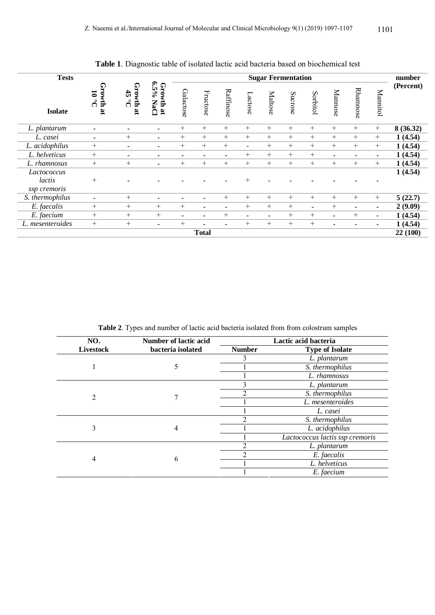| <b>Tests</b>                          |                                           |                                                                                                             |                          | <b>Sugar Fermentation</b> |                          |                          |                          |                          |          |                |                          | number                   |                          |          |
|---------------------------------------|-------------------------------------------|-------------------------------------------------------------------------------------------------------------|--------------------------|---------------------------|--------------------------|--------------------------|--------------------------|--------------------------|----------|----------------|--------------------------|--------------------------|--------------------------|----------|
| <b>Isolate</b>                        | Growth<br>0.01<br>$\overline{\mathbf{a}}$ | $6.5\%$<br>Growth<br>Growth<br>$\frac{4}{5}$<br>$\sigma$<br>NaCl<br>$\overline{\mathbf{a}}$<br>$\mathbf{g}$ | Galactose                | Fructose                  | Raffinose                | Lactose                  | Maltose                  | Sucrose                  | Sorbitol | Mannose        | Rhamnose                 | Mannitol                 | (Percent)                |          |
| L. plantarum                          | $\overline{\phantom{0}}$                  | $\overline{\phantom{a}}$                                                                                    | $\overline{\phantom{0}}$ | $^{+}$                    | $^{+}$                   | $+$                      | $^{+}$                   | $^{+}$                   | $^{+}$   | $+$            | $^{+}$                   | $^{+}$                   | $+$                      | 8(36.32) |
| L. casei                              | $\overline{\phantom{a}}$                  | $^{+}$                                                                                                      | $\blacksquare$           | $^{+}$                    | $+$                      | $+$                      | $^{+}$                   | $^{+}$                   | $^{+}$   | $^{+}$         | $^+$                     | $^{+}$                   | $^{+}$                   | 1(4.54)  |
| L. acidophilus                        | $^{+}$                                    | $\overline{\phantom{a}}$                                                                                    | $\overline{\phantom{0}}$ | $^{+}$                    | $^{+}$                   | $+$                      | $\blacksquare$           | $^{+}$                   | $^{+}$   | $^{+}$         | $^{+}$                   | $^{+}$                   | $^{+}$                   | 1(4.54)  |
| L. helveticus                         | $^{+}$                                    | $\blacksquare$                                                                                              | $\overline{\phantom{0}}$ | $\blacksquare$            | $\overline{\phantom{0}}$ | $\blacksquare$           | $^{+}$                   | $^{+}$                   | $^{+}$   | $^{+}$         | $\blacksquare$           | $\overline{\phantom{0}}$ | $\blacksquare$           | 1(4.54)  |
| L. rhamnosus                          | $^{+}$                                    | $+$                                                                                                         | $\blacksquare$           | $^{+}$                    | $^{+}$                   | $+$                      | $^{+}$                   | $^{+}$                   | $^{+}$   | $^{+}$         | $^{+}$                   | $^{+}$                   | $^{+}$                   | 1(4.54)  |
| Lactococcus<br>lactis<br>ssp cremoris | $^{+}$                                    |                                                                                                             |                          |                           |                          |                          | $^{+}$                   |                          |          |                |                          |                          |                          | 1(4.54)  |
| S. thermophilus                       | $\blacksquare$                            | $^{+}$                                                                                                      | $\overline{\phantom{0}}$ | $\blacksquare$            | $\overline{\phantom{0}}$ | $+$                      | $^{+}$                   | $^{+}$                   | $^{+}$   | $^{+}$         | $^{+}$                   | $+$                      | $+$                      | 5(22.7)  |
| E. faecalis                           | $^{+}$                                    | $+$                                                                                                         | $^{+}$                   | $^{+}$                    | $\overline{\phantom{0}}$ | $\overline{\phantom{a}}$ | $^{+}$                   | $^{+}$                   | $^{+}$   | $\blacksquare$ | $^{+}$                   | $\overline{\phantom{0}}$ | $\overline{\phantom{a}}$ | 2(9.09)  |
| E. faecium                            | $^{+}$                                    | $+$                                                                                                         | $+$                      | $\blacksquare$            | $\blacksquare$           | $^{+}$                   | $\overline{\phantom{a}}$ | $\overline{\phantom{a}}$ | $^{+}$   | $^{+}$         | $\blacksquare$           | $^{+}$                   | $\blacksquare$           | 1(4.54)  |
| L. mesenteroides                      | $^{+}$                                    | $+$                                                                                                         | $\overline{\phantom{0}}$ | $^{+}$                    | ۰                        | $\overline{\phantom{a}}$ | $^{+}$                   | $^{+}$                   | $^{+}$   | $^{+}$         | $\overline{\phantom{0}}$ | $\overline{\phantom{a}}$ | $\blacksquare$           | 1(4.54)  |
|                                       |                                           |                                                                                                             |                          |                           | <b>Total</b>             |                          |                          |                          |          |                |                          |                          |                          | 22(100)  |

**Table 1**. Diagnostic table of isolated lactic acid bacteria based on biochemical test

**Table 2**. Types and number of lactic acid bacteria isolated from from colostrum samples

| NO.              | <b>Number of lactic acid</b> | Lactic acid bacteria |                                 |  |  |  |
|------------------|------------------------------|----------------------|---------------------------------|--|--|--|
| <b>Livestock</b> | bacteria isolated            | <b>Number</b>        | <b>Type of Isolate</b>          |  |  |  |
|                  |                              | 3                    | L. plantarum                    |  |  |  |
|                  |                              |                      | S. thermophilus                 |  |  |  |
|                  |                              |                      | L. rhamnosus                    |  |  |  |
|                  |                              | 3                    | L. plantarum                    |  |  |  |
| 2                |                              | ∍                    | S. thermophilus                 |  |  |  |
|                  |                              |                      | L. mesenteroides                |  |  |  |
|                  |                              |                      | L. casei                        |  |  |  |
|                  |                              | $\overline{c}$       | S. thermophilus                 |  |  |  |
| 3                | 4                            |                      | L. acidophilus                  |  |  |  |
|                  |                              |                      | Lactococcus lactis ssp cremoris |  |  |  |
|                  |                              |                      | L. plantarum                    |  |  |  |
| 4                |                              | ◠                    | E. faecalis                     |  |  |  |
|                  | 6                            |                      | L. helveticus                   |  |  |  |
|                  |                              |                      | E. faecium                      |  |  |  |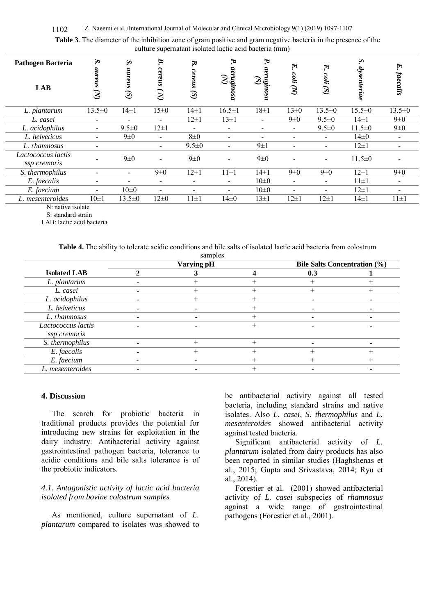| <b>Pathogen Bacteria</b>           | $\mathbf{S}$             | S                        | B.<br>ົ                       | B.                      | Ъ.                                                                                      | ᢦ.<br>aer                | F,                | E.                                       | Σ.           | F.                       |
|------------------------------------|--------------------------|--------------------------|-------------------------------|-------------------------|-----------------------------------------------------------------------------------------|--------------------------|-------------------|------------------------------------------|--------------|--------------------------|
| <b>LAB</b>                         | aureus<br>$\mathcal{S}$  | aureus<br>$\mathcal{S}$  | ereus<br>$\tilde{\mathbf{z}}$ | cereus<br>$\mathcal{S}$ | $\begin{array}{ll} \alpha & \text{aremsinos} \\ (N) & \\ (N) & \\ (N) & \\ \end{array}$ | $\mathcal{S}$<br>ngungsa | coli<br>$\hat{S}$ | $\mathit{coli}$<br>$\rm \bf \hat{\rm S}$ | dysenteriae  | <i>faecalis</i>          |
| L. plantarum                       | $13.5 \pm 0$             | $14\pm1$                 | $15\pm0$                      | $14\pm1$                | $16.5 \pm 1$                                                                            | $18\pm1$                 | $13\pm0$          | $13.5 \pm 0$                             | $15.5 \pm 0$ | $13.5 \pm 0$             |
| L. casei                           | $\overline{\phantom{a}}$ | -                        | $\overline{\phantom{0}}$      | $12 \pm 1$              | $13\pm1$                                                                                | $\blacksquare$           | $9\pm0$           | $9.5 \pm 0$                              | $14\pm1$     | $9\pm0$                  |
| L. acidophilus                     | $\overline{\phantom{a}}$ | $9.5 \pm 0$              | $12 \pm 1$                    |                         | $\overline{\phantom{a}}$                                                                | $\overline{\phantom{0}}$ | -                 | $9.5 \pm 0$                              | $11.5 \pm 0$ | $9\pm0$                  |
| L. helveticus                      |                          | $9\pm0$                  |                               | $8\pm 0$                | $\overline{\phantom{a}}$                                                                |                          |                   |                                          | $14\pm0$     | $\overline{\phantom{a}}$ |
| L. rhamnosus                       | $\overline{\phantom{0}}$ |                          | $\overline{\phantom{0}}$      | $9.5 \pm 0$             | $\overline{\phantom{a}}$                                                                | $9 \pm 1$                |                   |                                          | $12 \pm 1$   | $\overline{\phantom{a}}$ |
| Lactococcus lactis<br>ssp cremoris |                          | $9\pm0$                  |                               | $9\pm0$                 | -                                                                                       | $9\pm0$                  |                   |                                          | $11.5 \pm 0$ |                          |
| S. thermophilus                    | $\overline{\phantom{0}}$ | $\overline{\phantom{0}}$ | $9\pm0$                       | $12\pm1$                | $11\pm1$                                                                                | $14\pm1$                 | $9\pm0$           | $9\pm0$                                  | $12 \pm 1$   | $9\pm0$                  |
| E. faecalis                        | $\overline{\phantom{0}}$ | -                        |                               |                         | $\overline{\phantom{a}}$                                                                | $10\pm 0$                | -                 | $\blacksquare$                           | $11 \pm 1$   | -                        |
| E. faecium                         | $\overline{a}$           | $10\pm 0$                | $\overline{\phantom{0}}$      |                         |                                                                                         | $10\pm 0$                |                   |                                          | $12\pm1$     |                          |
| L. mesenteroides                   | $10\pm1$                 | $13.5 \pm 0$             | $12\pm 0$                     | $11\pm1$                | $14\pm0$                                                                                | $13 \pm 1$               | $12 \pm 1$        | $12 \pm 1$                               | $14\pm1$     | $11\pm1$                 |

**Table 3**. The diameter of the inhibition zone of gram positive and gram negative bacteria in the presence of the culture supernatant isolated lactic acid bacteria (mm)

N: native isolate

 S: standard strain LAB: lactic acid bacteria

#### **Table 4.** The ability to tolerate acidic conditions and bile salts of isolated lactic acid bacteria from colostrum

|                     | Varying pH |  |  | <b>Bile Salts Concentration (%)</b> |  |  |  |
|---------------------|------------|--|--|-------------------------------------|--|--|--|
| <b>Isolated LAB</b> |            |  |  | 0.3                                 |  |  |  |
| L. plantarum        |            |  |  |                                     |  |  |  |
| L. casei            |            |  |  |                                     |  |  |  |
| L. acidophilus      |            |  |  |                                     |  |  |  |
| L. helveticus       |            |  |  |                                     |  |  |  |
| L. rhamnosus        |            |  |  | $\overline{\phantom{0}}$            |  |  |  |
| Lactococcus lactis  |            |  |  |                                     |  |  |  |
| ssp cremoris        |            |  |  |                                     |  |  |  |
| S. thermophilus     |            |  |  |                                     |  |  |  |
| E. faecalis         |            |  |  |                                     |  |  |  |
| E. faecium          |            |  |  |                                     |  |  |  |
| L. mesenteroides    |            |  |  |                                     |  |  |  |

#### **4. Discussion**

The search for probiotic bacteria in traditional products provides the potential for introducing new strains for exploitation in the dairy industry. Antibacterial activity against gastrointestinal pathogen bacteria, tolerance to acidic conditions and bile salts tolerance is of the probiotic indicators.

#### *4.1. Antagonistic activity of lactic acid bacteria isolated from bovine colostrum samples*

As mentioned, culture supernatant of *L. plantarum* compared to isolates was showed to be antibacterial activity against all tested bacteria, including standard strains and native isolates. Also *L. casei*, *S. thermophilus* and *L. mesenteroides* showed antibacterial activity against tested bacteria.

Significant antibacterial activity of *L. plantarum* isolated from dairy products has also been reported in similar studies (Haghshenas et al., 2015; Gupta and Srivastava, 2014; Ryu et al., 2014).

Forestier et al. (2001) showed antibacterial activity of *L. casei* subspecies of *rhamnosus* against a wide range of gastrointestinal pathogens (Forestier et al., 2001).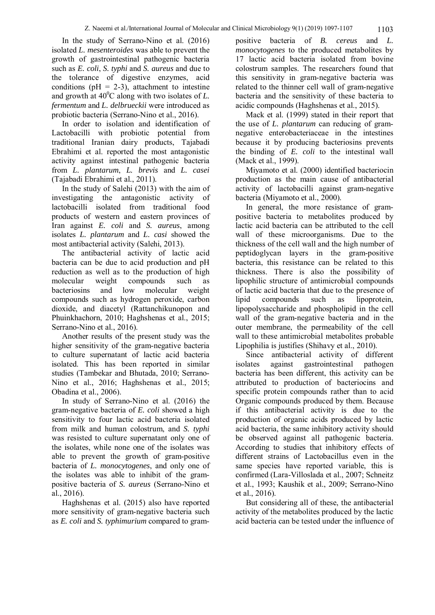In the study of Serrano-Nino et al. (2016) isolated *L. mesenteroides* was able to prevent the growth of gastrointestinal pathogenic bacteria such as *E. coli*, *S. typhi* and *S. aureus* and due to the tolerance of digestive enzymes, acid conditions ( $pH = 2-3$ ), attachment to intestine and growth at  $40^{\circ}$ C along with two isolates of *L*. *fermentum* and *L. delbrueckii* were introduced as probiotic bacteria (Serrano-Nino et al., 2016).

In order to isolation and identification of Lactobacilli with probiotic potential from traditional Iranian dairy products, Tajabadi Ebrahimi et al. reported the most antagonistic activity against intestinal pathogenic bacteria from *L. plantarum*, *L. brevis* and *L. casei* (Tajabadi Ebrahimi et al., 2011).

In the study of Salehi (2013) with the aim of investigating the antagonistic activity of lactobacilli isolated from traditional food products of western and eastern provinces of Iran against *E. coli* and *S. aureus*, among isolates *L. plantarum* and *L. casi* showed the most antibacterial activity (Salehi, 2013).

The antibacterial activity of lactic acid bacteria can be due to acid production and pH reduction as well as to the production of high molecular weight compounds such as bacteriosins and low molecular weight compounds such as hydrogen peroxide, carbon dioxide, and diacetyl (Rattanchikunopon and Phuinkhachorn, 2010; Haghshenas et al., 2015; Serrano-Nino et al., 2016).

Another results of the present study was the higher sensitivity of the gram-negative bacteria to culture supernatant of lactic acid bacteria isolated. This has been reported in similar studies (Tambekar and Bhutada, 2010; Serrano-Nino et al., 2016; Haghshenas et al., 2015; Obadina et al., 2006).

In study of Serrano-Nino et al. (2016) the gram-negative bacteria of *E. coli* showed a high sensitivity to four lactic acid bacteria isolated from milk and human colostrum, and *S. typhi* was resisted to culture supernatant only one of the isolates, while none one of the isolates was able to prevent the growth of gram-positive bacteria of *L. monocytogenes*, and only one of the isolates was able to inhibit of the grampositive bacteria of *S. aureus* (Serrano-Nino et al., 2016).

Haghshenas et al. (2015) also have reported more sensitivity of gram-negative bacteria such as *E. coli* and *S. typhimurium* compared to grampositive bacteria of *B. cereus* and *L. monocytogenes* to the produced metabolites by 17 lactic acid bacteria isolated from bovine colostrum samples. The researchers found that this sensitivity in gram-negative bacteria was related to the thinner cell wall of gram-negative bacteria and the sensitivity of these bacteria to acidic compounds (Haghshenas et al., 2015).

Mack et al. (1999) stated in their report that the use of *L. plantarum* can reducing of gramnegative enterobacteriaceae in the intestines because it by producing bacteriosins prevents the binding of *E. coli* to the intestinal wall (Mack et al., 1999).

Miyamoto et al. (2000) identified bacteriocin production as the main cause of antibacterial activity of lactobacilli against gram-negative bacteria (Miyamoto et al., 2000).

In general, the more resistance of grampositive bacteria to metabolites produced by lactic acid bacteria can be attributed to the cell wall of these microorganisms. Due to the thickness of the cell wall and the high number of peptidoglycan layers in the gram-positive bacteria, this resistance can be related to this thickness. There is also the possibility of lipophilic structure of antimicrobial compounds of lactic acid bacteria that due to the presence of lipid compounds such as lipoprotein, lipopolysaccharide and phospholipid in the cell wall of the gram-negative bacteria and in the outer membrane, the permeability of the cell wall to these antimicrobial metabolites probable Lipophilia is justifies (Shihavy et al., 2010).

Since antibacterial activity of different isolates against gastrointestinal pathogen bacteria has been different, this activity can be attributed to production of bacteriocins and specific protein compounds rather than to acid Organic compounds produced by them. Because if this antibacterial activity is due to the production of organic acids produced by lactic acid bacteria, the same inhibitory activity should be observed against all pathogenic bacteria. According to studies that inhibitory effects of different strains of Lactobacillus even in the same species have reported variable, this is confirmed (Lara-Villoslada et al., 2007; Schneitz et al., 1993; Kaushik et al., 2009; Serrano-Nino et al., 2016).

But considering all of these, the antibacterial activity of the metabolites produced by the lactic acid bacteria can be tested under the influence of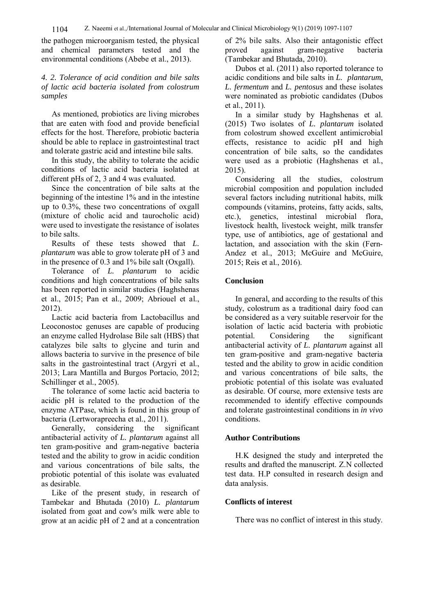the pathogen microorganism tested, the physical and chemical parameters tested and the environmental conditions (Abebe et al., 2013).

#### *4. 2. Tolerance of acid condition and bile salts of lactic acid bacteria isolated from colostrum samples*

As mentioned, probiotics are living microbes that are eaten with food and provide beneficial effects for the host. Therefore, probiotic bacteria should be able to replace in gastrointestinal tract and tolerate gastric acid and intestine bile salts.

In this study, the ability to tolerate the acidic conditions of lactic acid bacteria isolated at different pHs of 2, 3 and 4 was evaluated.

Since the concentration of bile salts at the beginning of the intestine 1% and in the intestine up to 0.3%, these two concentrations of oxgall (mixture of cholic acid and taurocholic acid) were used to investigate the resistance of isolates to bile salts.

Results of these tests showed that *L. plantarum* was able to grow tolerate pH of 3 and in the presence of 0.3 and 1% bile salt (Oxgall).

Tolerance of *L. plantarum* to acidic conditions and high concentrations of bile salts has been reported in similar studies (Haghshenas et al., 2015; Pan et al., 2009; Abriouel et al., 2012).

Lactic acid bacteria from Lactobacillus and Leoconostoc genuses are capable of producing an enzyme called Hydrolase Bile salt (HBS) that catalyzes bile salts to glycine and turin and allows bacteria to survive in the presence of bile salts in the gastrointestinal tract (Argyri et al., 2013; Lara Mantilla and Burgos Portacio, 2012; Schillinger et al., 2005).

The tolerance of some lactic acid bacteria to acidic pH is related to the production of the enzyme ATPase, which is found in this group of bacteria (Lertworapreecha et al., 2011).

Generally, considering the significant antibacterial activity of *L. plantarum* against all ten gram-positive and gram-negative bacteria tested and the ability to grow in acidic condition and various concentrations of bile salts, the probiotic potential of this isolate was evaluated as desirable.

Like of the present study, in research of Tambekar and Bhutada (2010) *L. plantarum* isolated from goat and cow's milk were able to grow at an acidic pH of 2 and at a concentration

of 2% bile salts. Also their antagonistic effect proved against gram-negative bacteria (Tambekar and Bhutada, 2010).

Dubos et al. (2011) also reported tolerance to acidic conditions and bile salts in *L. plantarum*, *L. fermentum* and *L. pentosus* and these isolates were nominated as probiotic candidates (Dubos et al., 2011).

In a similar study by Haghshenas et al. (2015) Two isolates of *L. plantarum* isolated from colostrum showed excellent antimicrobial effects, resistance to acidic pH and high concentration of bile salts, so the candidates were used as a probiotic (Haghshenas et al., 2015).

Considering all the studies, colostrum microbial composition and population included several factors including nutritional habits, milk compounds (vitamins, proteins, fatty acids, salts, etc.), genetics, intestinal microbial flora, livestock health, livestock weight, milk transfer type, use of antibiotics, age of gestational and lactation, and association with the skin (Fern-Andez et al., 2013; McGuire and McGuire, 2015; Reis et al., 2016).

#### **Conclusion**

In general, and according to the results of this study, colostrum as a traditional dairy food can be considered as a very suitable reservoir for the isolation of lactic acid bacteria with probiotic potential. Considering the significant antibacterial activity of *L. plantarum* against all ten gram-positive and gram-negative bacteria tested and the ability to grow in acidic condition and various concentrations of bile salts, the probiotic potential of this isolate was evaluated as desirable. Of course, more extensive tests are recommended to identify effective compounds and tolerate gastrointestinal conditions in *in vivo* conditions.

#### **Author Contributions**

H.K designed the study and interpreted the results and drafted the manuscript. Z.N collected test data. H.P consulted in research design and data analysis.

# **Conflicts of interest**

There was no conflict of interest in this study.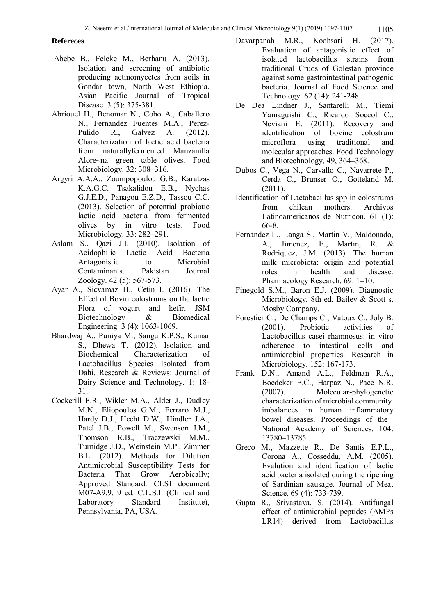#### **Refereces**

- Abebe B., Feleke M., Berhanu A. (2013). Isolation and screening of antibiotic producing actinomycetes from soils in Gondar town, North West Ethiopia. Asian Pacific Journal of Tropical Disease. 3 (5): 375-381.
- Abriouel H., Benomar N., Cobo A., Caballero N., Fernandez Fuentes M.A., Perez-Pulido R., Galvez A. (2012). Characterization of lactic acid bacteria from naturallyfermented Manzanilla Alore~na green table olives. Food Microbiology. 32: 308–316.
- Argyri A.A.A., Zoumpopoulou G.B., Karatzas K.A.G.C. Tsakalidou E.B., Nychas G.J.E.D., Panagou E.Z.D., Tassou C.C. (2013). Selection of potential probiotic lactic acid bacteria from fermented olives by in vitro tests. Food Microbiology. 33: 282–291.
- Aslam S., Qazi J.I. (2010). Isolation of Acidophilic Lactic Acid Bacteria Antagonistic to Microbial Contaminants. Pakistan Journal Zoology. 42 (5): 567-573.
- Ayar A., Sicvamaz H., Cetin I. (2016). The Effect of Bovin colostrums on the lactic Flora of yogurt and kefir. JSM Biotechnology & Biomedical Engineering. 3 (4): 1063-1069.
- Bhardwaj A., Puniya M., Sangu K.P.S., Kumar S., Dhewa T. (2012). Isolation and Biochemical Characterization of Lactobacillus Species Isolated from Dahi. Research & Reviews: Journal of Dairy Science and Technology. 1: 18- 31.
- Cockerill F.R., Wikler M.A., Alder J., Dudley M.N., Eliopoulos G.M., Ferraro M.J., Hardy D.J., Hecht D.W., Hindler J.A., Patel J.B., Powell M., Swenson J.M., Thomson R.B., Traczewski M.M., Turnidge J.D., Weinstein M.P., Zimmer B.L. (2012). Methods for Dilution Antimicrobial Susceptibility Tests for Bacteria That Grow Aerobically; Approved Standard. CLSI document M07-A9.9. 9 ed. C.L.S.I. (Clinical and Laboratory Standard Institute), Pennsylvania, PA, USA.
- Davarpanah M.R., Koohsari H. (2017). Evaluation of antagonistic effect of isolated lactobacillus strains from traditional Cruds of Golestan province against some gastrointestinal pathogenic bacteria. Journal of Food Science and Technology. 62 (14): 241-248.
- De Dea Lindner J., Santarelli M., Tiemi Yamaguishi C., Ricardo Soccol C., Neviani E. (2011). Recovery and identification of bovine colostrum microflora using traditional and molecular approaches. Food Technology and Biotechnology, 49, 364–368.
- Dubos C., Vega N., Carvallo C., Navarrete P., Cerda C., Brunser O., Gotteland M. (2011).
- Identification of Lactobacillus spp in colostrums from chilean mothers. Archivos Latinoamericanos de Nutricon. 61 (1): 66-8.
- Fernandez L., Langa S., Martin V., Maldonado, A., Jimenez, E., Martin, R. & Rodriquez, J.M. (2013). The human milk microbiota: origin and potential roles in health and disease. Pharmacology Research. 69: 1–10.
- Finegold S.M., Baron E.J. (2009). Diagnostic Microbiology, 8th ed. Bailey & Scott s. Mosby Company.
- Forestier C., De Champs C., Vatoux C., Joly B.<br>(2001). Probiotic activities of Probiotic activities of Lactobacillus casei rhamnosus: in vitro adherence to intestinal cells and antimicrobial properties. Research in Microbiology. 152: 167-173.
- Frank D.N., Amand A.L., Feldman R.A., Boedeker E.C., Harpaz N., Pace N.R. (2007). Molecular-phylogenetic characterization of microbial community imbalances in human inflammatory bowel diseases. Proceedings of the National Academy of Sciences. 104: 13780–13785.
- Greco M., Mazzette R., De Santis E.P.L., Corona A., Cosseddu, A.M. (2005). Evalution and identification of lactic acid bacteria isolated during the ripening of Sardinian sausage. Journal of Meat Science. 69 (4): 733-739.
- Gupta R., Srivastava, S. (2014). Antifungal effect of antimicrobial peptides (AMPs LR14) derived from Lactobacillus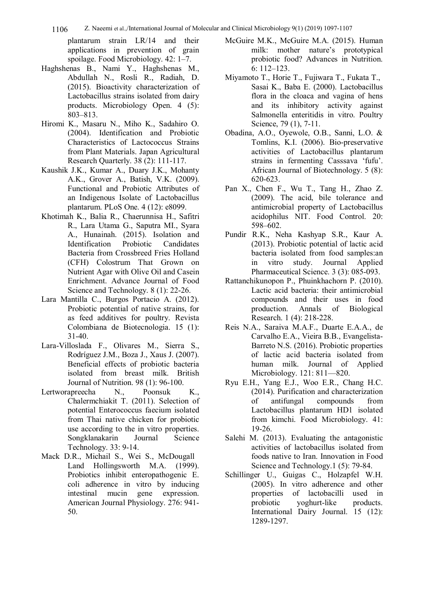1106 Z. Naeemi et al.,/International Journal of Molecular and Clinical Microbiology 9(1) (2019) 1097-1107

plantarum strain LR/14 and their applications in prevention of grain spoilage. Food Microbiology. 42: 1–7.

- Haghshenas B., Nami Y., Haghshenas M., Abdullah N., Rosli R., Radiah, D. (2015). Bioactivity characterization of Lactobacillus strains isolated from dairy products. Microbiology Open. 4 (5): 803–813.
- Hiromi K., Masaru N., Miho K., Sadahiro O. (2004). Identification and Probiotic Characteristics of Lactococcus Strains from Plant Materials. Japan Agricultural Research Quarterly. 38 (2): 111-117.
- Kaushik J.K., Kumar A., Duary J.K., Mohanty A.K., Grover A., Batish, V.K. (2009). Functional and Probiotic Attributes of an Indigenous Isolate of Lactobacillus plantarum. PLoS One. 4 (12): e8099.
- Khotimah K., Balia R., Chaerunnisa H., Safitri R., Lara Utama G., Saputra MI., Syara A., Hunainah. (2015). Isolation and Identification Probiotic Candidates Bacteria from Crossbreed Fries Holland (CFH) Colostrum That Grown on Nutrient Agar with Olive Oil and Casein Enrichment. Advance Journal of Food Science and Technology. 8 (1): 22-26.
- Lara Mantilla C., Burgos Portacio A. (2012). Probiotic potential of native strains, for as feed additives for poultry. Revista Colombiana de Biotecnologia. 15 (1): 31-40.
- Lara-Villoslada F., Olivares M., Sierra S., Rodríguez J.M., Boza J., Xaus J. (2007). Beneficial effects of probiotic bacteria isolated from breast milk. British Journal of Nutrition. 98 (1): 96-100.
- Lertworapreecha N., Poonsuk K., Chalermchiakit T. (2011). Selection of potential Enterococcus faecium isolated from Thai native chicken for probiotic use according to the in vitro properties. Songklanakarin Journal Science Technology. 33: 9-14.
- Mack D.R., Michail S., Wei S., McDougall Land Hollingsworth M.A. (1999). Probiotics inhibit enteropathogenic E. coli adherence in vitro by inducing intestinal mucin gene expression. American Journal Physiology. 276: 941- 50.
- McGuire M.K., McGuire M.A. (2015). Human milk: mother nature's prototypical probiotic food? Advances in Nutrition. 6: 112–123.
- Miyamoto T., Horie T., Fujiwara T., Fukata T., Sasai K., Baba E. (2000). Lactobacillus flora in the cloaca and vagina of hens and its inhibitory activity against Salmonella enteritidis in vitro. Poultry Science, 79 (1), 7-11.
- Obadina, A.O., Oyewole, O.B., Sanni, L.O. & Tomlins, K.I. (2006). Bio-preservative activities of Lactobacillus plantarum strains in fermenting Casssava 'fufu'. African Journal of Biotechnology. 5 (8): 620-623.
- Pan X., Chen F., Wu T., Tang H., Zhao Z. (2009). The acid, bile tolerance and antimicrobial property of Lactobacillus acidophilus NIT. Food Control. 20: 598–602.
- Pundir R.K., Neha Kashyap S.R., Kaur A. (2013). Probiotic potential of lactic acid bacteria isolated from food samples:an in vitro study. Journal Applied Pharmaceutical Science. 3 (3): 085-093.
- Rattanchikunopon P., Phuinkhachorn P. (2010). Lactic acid bacteria: their antimicrobial compounds and their uses in food production. Annals of Biological Research. 1 (4): 218-228.
- Reis N.A., Saraiva M.A.F., Duarte E.A.A., de Carvalho E.A., Vieira B.B., Evangelista-Barreto N.S. (2016). Probiotic properties of lactic acid bacteria isolated from human milk. Journal of Applied Microbiology. 121: 811—820.
- Ryu E.H., Yang E.J., Woo E.R., Chang H.C. (2014). Purification and characterization of antifungal compounds from Lactobacillus plantarum HD1 isolated from kimchi. Food Microbiology. 41: 19-26.
- Salehi M. (2013). Evaluating the antagonistic activities of lactobacillus isolated from foods native to Iran. Innovation in Food Science and Technology.1 (5): 79-84.
- Schillinger U., Guigas C., Holzapfel W.H. (2005). In vitro adherence and other properties of lactobacilli used in probiotic yoghurt-like products. International Dairy Journal. 15 (12): 1289-1297.